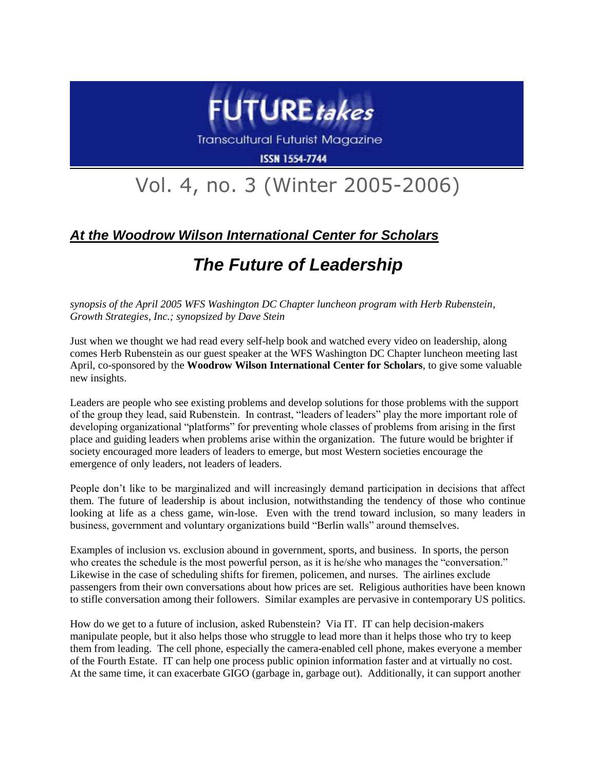

**Transcultural Futurist Magazine** 

**ISSN 1554-7744** 

## Vol. 4, no. 3 (Winter 2005-2006)

## *At the Woodrow Wilson International Center for Scholars*

## *The Future of Leadership*

*synopsis of the April 2005 WFS Washington DC Chapter luncheon program with Herb Rubenstein, Growth Strategies, Inc.; synopsized by Dave Stein*

Just when we thought we had read every self-help book and watched every video on leadership, along comes Herb Rubenstein as our guest speaker at the WFS Washington DC Chapter luncheon meeting last April, co-sponsored by the **Woodrow Wilson International Center for Scholars**, to give some valuable new insights.

Leaders are people who see existing problems and develop solutions for those problems with the support of the group they lead, said Rubenstein. In contrast, "leaders of leaders" play the more important role of developing organizational "platforms" for preventing whole classes of problems from arising in the first place and guiding leaders when problems arise within the organization. The future would be brighter if society encouraged more leaders of leaders to emerge, but most Western societies encourage the emergence of only leaders, not leaders of leaders.

People don't like to be marginalized and will increasingly demand participation in decisions that affect them. The future of leadership is about inclusion, notwithstanding the tendency of those who continue looking at life as a chess game, win-lose. Even with the trend toward inclusion, so many leaders in business, government and voluntary organizations build "Berlin walls" around themselves.

Examples of inclusion vs. exclusion abound in government, sports, and business. In sports, the person who creates the schedule is the most powerful person, as it is he/she who manages the "conversation." Likewise in the case of scheduling shifts for firemen, policemen, and nurses. The airlines exclude passengers from their own conversations about how prices are set. Religious authorities have been known to stifle conversation among their followers. Similar examples are pervasive in contemporary US politics.

How do we get to a future of inclusion, asked Rubenstein? Via IT. IT can help decision-makers manipulate people, but it also helps those who struggle to lead more than it helps those who try to keep them from leading. The cell phone, especially the camera-enabled cell phone, makes everyone a member of the Fourth Estate. IT can help one process public opinion information faster and at virtually no cost. At the same time, it can exacerbate GIGO (garbage in, garbage out). Additionally, it can support another